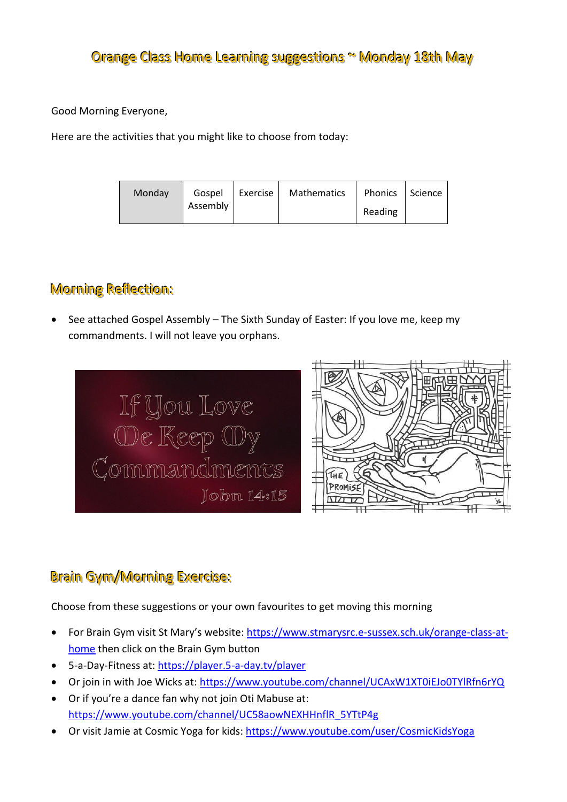Good Morning Everyone,

Here are the activities that you might like to choose from today:

| Mathematics<br>Gospel   Exercise  <br>Monday<br>Assembly | Phonics Science<br>Reading |  |
|----------------------------------------------------------|----------------------------|--|
|----------------------------------------------------------|----------------------------|--|

# Morning Reflection:

 See attached Gospel Assembly – The Sixth Sunday of Easter: If you love me, keep my commandments. I will not leave you orphans.





## Brain Gym/Morning Exercise:

Choose from these suggestions or your own favourites to get moving this morning

- For Brain Gym visit St Mary's website: [https://www.stmarysrc.e-sussex.sch.uk/orange-class-at](https://www.stmarysrc.e-sussex.sch.uk/orange-class-at-home)[home](https://www.stmarysrc.e-sussex.sch.uk/orange-class-at-home) then click on the Brain Gym button
- 5-a-Day-Fitness at[: https://player.5-a-day.tv/player](https://player.5-a-day.tv/player)
- Or join in with Joe Wicks at:<https://www.youtube.com/channel/UCAxW1XT0iEJo0TYlRfn6rYQ>
- Or if you're a dance fan why not join Oti Mabuse at: [https://www.youtube.com/channel/UC58aowNEXHHnflR\\_5YTtP4g](https://www.youtube.com/channel/UC58aowNEXHHnflR_5YTtP4g)
- Or visit Jamie at Cosmic Yoga for kids:<https://www.youtube.com/user/CosmicKidsYoga>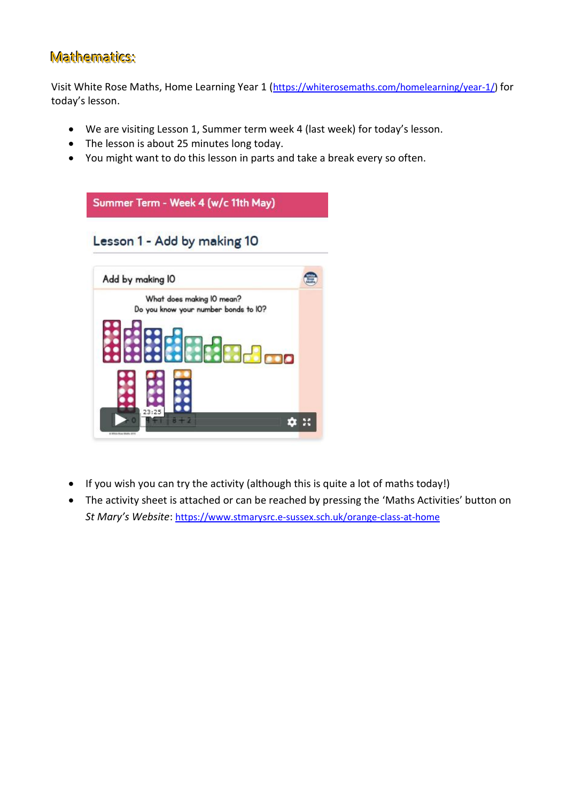### Mathematics:

Visit White Rose Maths, Home Learning Year 1 ([https://whiterosemaths.com/homelearning/year-1/\)](https://whiterosemaths.com/homelearning/year-1/) for today's lesson.

- We are visiting Lesson 1, Summer term week 4 (last week) for today's lesson.
- The lesson is about 25 minutes long today.
- You might want to do this lesson in parts and take a break every so often.



- If you wish you can try the activity (although this is quite a lot of maths today!)
- The activity sheet is attached or can be reached by pressing the 'Maths Activities' button on *St Mary's Website*: <https://www.stmarysrc.e-sussex.sch.uk/orange-class-at-home>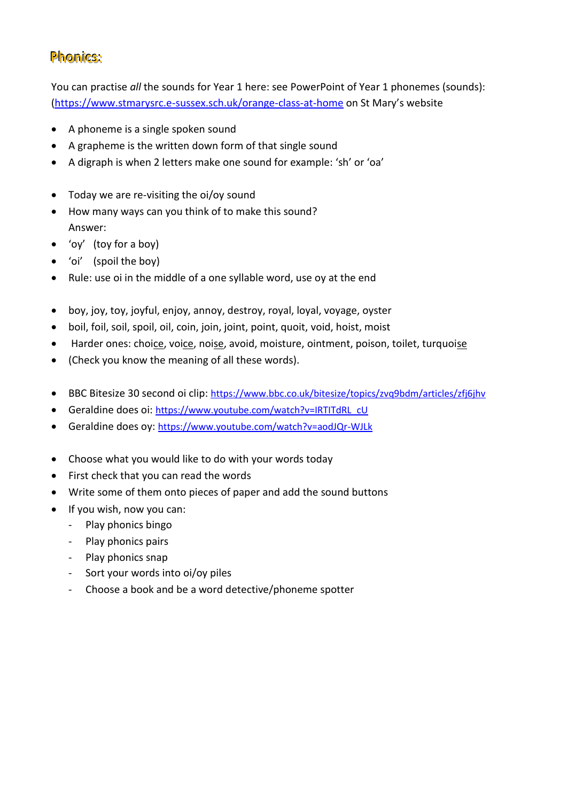### Phonics:

You can practise *all* the sounds for Year 1 here: see PowerPoint of Year 1 phonemes (sounds): [\(https://www.stmarysrc.e-sussex.sch.uk/orange-class-at-home](https://www.stmarysrc.e-sussex.sch.uk/orange-class-at-home) on St Mary's website

- A phoneme is a single spoken sound
- A grapheme is the written down form of that single sound
- A digraph is when 2 letters make one sound for example: 'sh' or 'oa'
- Today we are re-visiting the oi/oy sound
- How many ways can you think of to make this sound? Answer:
- 'oy' (toy for a boy)
- 'oi' (spoil the boy)
- Rule: use oi in the middle of a one syllable word, use oy at the end
- boy, joy, toy, joyful, enjoy, annoy, destroy, royal, loyal, voyage, oyster
- boil, foil, soil, spoil, oil, coin, join, joint, point, quoit, void, hoist, moist
- Harder ones: choice, voice, noise, avoid, moisture, ointment, poison, toilet, turquoise
- (Check you know the meaning of all these words).
- BBC Bitesize 30 second oi clip: <https://www.bbc.co.uk/bitesize/topics/zvq9bdm/articles/zfj6jhv>
- Geraldine does oi: [https://www.youtube.com/watch?v=IRTITdRL\\_cU](https://www.youtube.com/watch?v=IRTITdRL_cU)
- Geraldine does oy: <https://www.youtube.com/watch?v=aodJQr-WJLk>
- Choose what you would like to do with your words today
- First check that you can read the words
- Write some of them onto pieces of paper and add the sound buttons
- If you wish, now you can:
	- Play phonics bingo
	- Play phonics pairs
	- Play phonics snap
	- Sort your words into oi/oy piles
	- Choose a book and be a word detective/phoneme spotter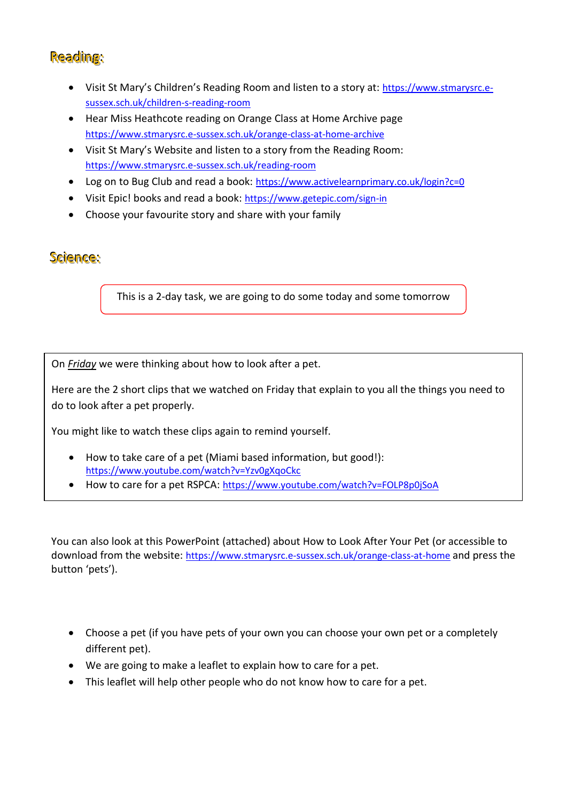## Reading:

- Visit St Mary's Children's Reading Room and listen to a story at: [https://www.stmarysrc.e](https://www.stmarysrc.e-sussex.sch.uk/children-s-reading-room)[sussex.sch.uk/children-s-reading-room](https://www.stmarysrc.e-sussex.sch.uk/children-s-reading-room)
- Hear Miss Heathcote reading on Orange Class at Home Archive page <https://www.stmarysrc.e-sussex.sch.uk/orange-class-at-home-archive>
- Visit St Mary's Website and listen to a story from the Reading Room: <https://www.stmarysrc.e-sussex.sch.uk/reading-room>
- Log on to Bug Club and read a book: <https://www.activelearnprimary.co.uk/login?c=0>
- Visit Epic! books and read a book: <https://www.getepic.com/sign-in>
- Choose your favourite story and share with your family

## Science:

This is a 2-day task, we are going to do some today and some tomorrow

On *Friday* we were thinking about how to look after a pet.

Here are the 2 short clips that we watched on Friday that explain to you all the things you need to do to look after a pet properly.

You might like to watch these clips again to remind yourself.

- How to take care of a pet (Miami based information, but good!): <https://www.youtube.com/watch?v=Yzv0gXqoCkc>
- How to care for a pet RSPCA: <https://www.youtube.com/watch?v=FOLP8p0jSoA>

You can also look at this PowerPoint (attached) about How to Look After Your Pet (or accessible to download from the website: <https://www.stmarysrc.e-sussex.sch.uk/orange-class-at-home> and press the button 'pets').

- Choose a pet (if you have pets of your own you can choose your own pet or a completely different pet).
- We are going to make a leaflet to explain how to care for a pet.
- This leaflet will help other people who do not know how to care for a pet.